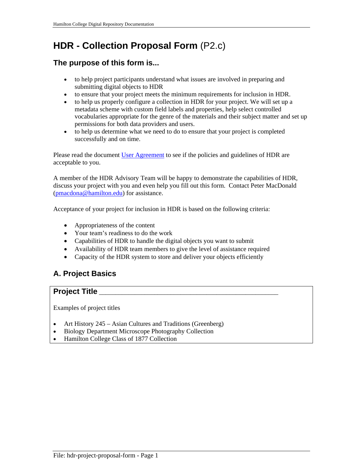# **HDR - Collection Proposal Form** (P2.c)

# **The purpose of this form is...**

- to help project participants understand what issues are involved in preparing and submitting digital objects to HDR
- to ensure that your project meets the minimum requirements for inclusion in HDR.
- to help us properly configure a collection in HDR for your project. We will set up a metadata scheme with custom field labels and properties, help select controlled vocabularies appropriate for the genre of the materials and their subject matter and set up permissions for both data providers and users.
- to help us determine what we need to do to ensure that your project is completed successfully and on time.

Please read the document User Agreement to see if the policies and guidelines of HDR are acceptable to you.

A member of the HDR Advisory Team will be happy to demonstrate the capabilities of HDR, discuss your project with you and even help you fill out this form. Contact Peter MacDonald (pmacdona@hamilton.edu) for assistance.

Acceptance of your project for inclusion in HDR is based on the following criteria:

- Appropriateness of the content
- Your team's readiness to do the work
- Capabilities of HDR to handle the digital objects you want to submit
- Availability of HDR team members to give the level of assistance required
- Capacity of the HDR system to store and deliver your objects efficiently

# **A. Project Basics**

### **Project Title**

Examples of project titles

- Art History 245 Asian Cultures and Traditions (Greenberg)
- Biology Department Microscope Photography Collection
- Hamilton College Class of 1877 Collection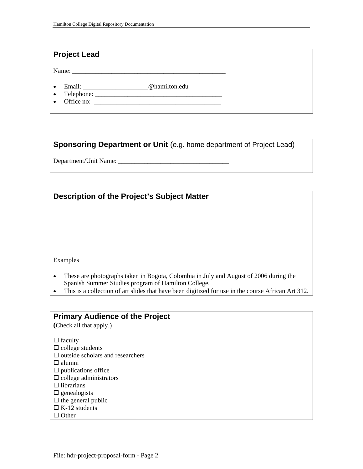### **Project Lead**

Name: \_\_\_\_\_\_\_\_\_\_\_\_\_\_\_\_\_\_\_\_\_\_\_\_\_\_\_\_\_\_\_\_\_\_\_\_\_\_\_\_\_\_\_\_\_\_\_

- Email: \_\_\_\_\_\_\_\_\_\_\_\_\_\_\_\_\_\_\_\_@hamilton.edu
- Telephone: \_\_\_\_\_\_\_\_\_\_\_\_\_\_\_\_\_\_\_\_\_\_\_\_\_\_\_\_\_\_\_\_\_\_\_\_\_\_\_
- $\bullet$  Office no:

**Sponsoring Department or Unit** (e.g. home department of Project Lead)

Department/Unit Name: \_\_\_\_\_\_\_\_\_\_\_\_\_\_\_\_\_\_\_\_\_\_\_\_\_\_\_\_\_\_\_\_\_\_

| Description of the Project's Subject Matter                                                |  |  |
|--------------------------------------------------------------------------------------------|--|--|
|                                                                                            |  |  |
|                                                                                            |  |  |
|                                                                                            |  |  |
|                                                                                            |  |  |
|                                                                                            |  |  |
|                                                                                            |  |  |
|                                                                                            |  |  |
| Examples                                                                                   |  |  |
| These are photographs taken in Bogota, Colombia in July and August of 2006 during the<br>٠ |  |  |
| Spanish Summer Studies program of Hamilton College.                                        |  |  |

This is a collection of art slides that have been digitized for use in the course African Art 312.

### **Primary Audience of the Project**

**(**Check all that apply.)

 $\Box$  faculty

- $\Box$  college students
- $\square$  outside scholars and researchers
- $\Box$  alumni
- $\Box$  publications office
- $\square$  college administrators
- $\Box$  librarians
- $\square$  genealogists
- $\Box$  the general public
- $\Box$  K-12 students
- $\Box$  Other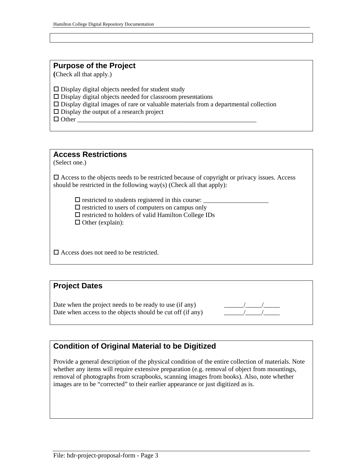### **Purpose of the Project**

**(**Check all that apply.)

 $\square$  Display digital objects needed for student study

 $\square$  Display digital objects needed for classroom presentations

Display digital images of rare or valuable materials from a departmental collection

 $\square$  Display the output of a research project

 $\Box$  Other

### **Access Restrictions**

(Select one.)

 $\Box$  Access to the objects needs to be restricted because of copyright or privacy issues. Access should be restricted in the following way(s) (Check all that apply):

 $\square$  restricted to students registered in this course:  $\square$  restricted to users of computers on campus only  $\square$  restricted to holders of valid Hamilton College IDs

 $\Box$  Other (explain):

 $\Box$  Access does not need to be restricted.

### **Project Dates**

Date when the project needs to be ready to use (if any) Date when access to the objects should be cut off (if any)



# **Condition of Original Material to be Digitized**

Provide a general description of the physical condition of the entire collection of materials. Note whether any items will require extensive preparation (e.g. removal of object from mountings, removal of photographs from scrapbooks, scanning images from books). Also, note whether images are to be "corrected" to their earlier appearance or just digitized as is.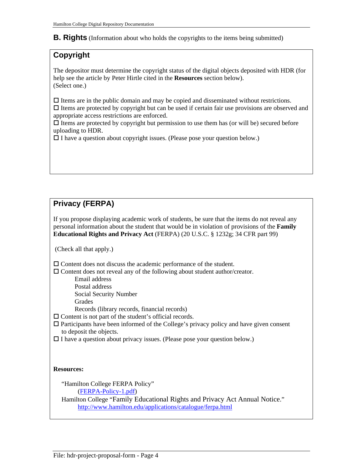#### **B. Rights** (Information about who holds the copyrights to the items being submitted)

# **Copyright**

The depositor must determine the copyright status of the digital objects deposited with HDR (for help see the article by Peter Hirtle cited in the **Resources** section below). (Select one.)

 $\Box$  Items are in the public domain and may be copied and disseminated without restrictions.  $\Box$  Items are protected by copyright but can be used if certain fair use provisions are observed and appropriate access restrictions are enforced.

 $\Box$  Items are protected by copyright but permission to use them has (or will be) secured before uploading to HDR.

 $\Box$  I have a question about copyright issues. (Please pose your question below.)

# **Privacy (FERPA)**

If you propose displaying academic work of students, be sure that the items do not reveal any personal information about the student that would be in violation of provisions of the **Family Educational Rights and Privacy Act** (FERPA) (20 U.S.C. § 1232g; 34 CFR part 99)

(Check all that apply.)

Content does not discuss the academic performance of the student.

 $\Box$  Content does not reveal any of the following about student author/creator.

Email address

Postal address

Social Security Number

Grades

Records (library records, financial records)

 $\Box$  Content is not part of the student's official records.

- $\square$  Participants have been informed of the College's privacy policy and have given consent to deposit the objects.
- $\Box$  I have a question about privacy issues. (Please pose your question below.)

#### **Resources:**

"Hamilton College FERPA Policy"

(FERPA-Policy-1.pdf)

 Hamilton College "Family Educational Rights and Privacy Act Annual Notice." http://www.hamilton.edu/applications/catalogue/ferpa.html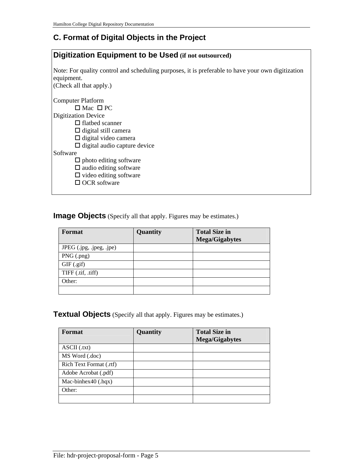# **C. Format of Digital Objects in the Project**

# **Digitization Equipment to be Used (if not outsourced)**  Note: For quality control and scheduling purposes, it is preferable to have your own digitization equipment. (Check all that apply.) Computer Platform  $\Box$  Mac  $\Box$  PC Digitization Device  $\Box$  flatbed scanner  $\Box$  digital still camera  $\Box$  digital video camera  $\Box$  digital audio capture device **Software**  $\Box$  photo editing software  $\square$  audio editing software  $\square$  video editing software □ OCR software

**Image Objects** (Specify all that apply. Figures may be estimates.)

| Format                   | Quantity | <b>Total Size in</b><br>Mega/Gigabytes |
|--------------------------|----------|----------------------------------------|
| JPEG (.jpg, .jpeg, .jpe) |          |                                        |
| $PNG$ (.png)             |          |                                        |
| $GIF$ $(gif)$            |          |                                        |
| TIFF (.tif, .tiff)       |          |                                        |
| Other:                   |          |                                        |
|                          |          |                                        |

**Textual Objects** (Specify all that apply. Figures may be estimates.)

| Format                  | Quantity | <b>Total Size in</b><br><b>Mega/Gigabytes</b> |
|-------------------------|----------|-----------------------------------------------|
| $\text{ASCII}$ (.txt)   |          |                                               |
| MS Word (.doc)          |          |                                               |
| Rich Text Format (.rtf) |          |                                               |
| Adobe Acrobat (.pdf)    |          |                                               |
| Mac-binhex40 $(hqx)$    |          |                                               |
| Other:                  |          |                                               |
|                         |          |                                               |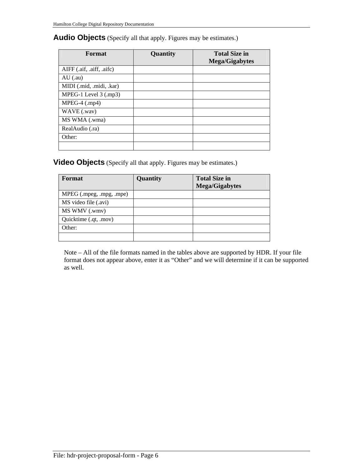#### **Audio Objects** (Specify all that apply. Figures may be estimates.)

| Format                    | Quantity | <b>Total Size in</b><br><b>Mega/Gigabytes</b> |
|---------------------------|----------|-----------------------------------------------|
| AIFF (.aif, .aiff, .aifc) |          |                                               |
| $AU$ (.au)                |          |                                               |
| MIDI (.mid, .midi, .kar)  |          |                                               |
| MPEG-1 Level 3 (.mp3)     |          |                                               |
| $MPEG-4$ (.mp4)           |          |                                               |
| WAVE (.wav)               |          |                                               |
| MS WMA (.wma)             |          |                                               |
| RealAudio (.ra)           |          |                                               |
| Other:                    |          |                                               |
|                           |          |                                               |

### **Video Objects** (Specify all that apply. Figures may be estimates.)

| Format                   | Quantity | <b>Total Size in</b><br><b>Mega/Gigabytes</b> |
|--------------------------|----------|-----------------------------------------------|
| MPEG (.mpeg, .mpg, .mpe) |          |                                               |
| MS video file (.avi)     |          |                                               |
| MS WMV (.wmv)            |          |                                               |
| Quicktime (.qt, .mov)    |          |                                               |
| Other:                   |          |                                               |
|                          |          |                                               |

Note – All of the file formats named in the tables above are supported by HDR. If your file format does not appear above, enter it as "Other" and we will determine if it can be supported as well.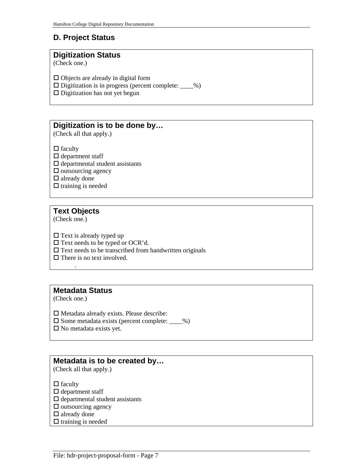# **D. Project Status**

#### **Digitization Status**

(Check one.)

 $\Box$  Objects are already in digital form

 $\square$  Digitization is in progress (percent complete:  $\_\_\%$ )

 $\square$  Digitization has not yet begun

# **Digitization is to be done by…**

(Check all that apply.)

 $\Box$  faculty

- $\square$  department staff
- $\square$  departmental student assistants

 $\square$  outsourcing agency

□ already done

 $\Box$  training is needed

# **Text Objects**

.

(Check one.)

 $\Box$  Text is already typed up

 $\Box$  Text needs to be typed or OCR'd.

 $\square$  Text needs to be transcribed from handwritten originals

 $\Box$  There is no text involved.

### **Metadata Status**

(Check one.)

 $\square$  Metadata already exists. Please describe:

 $\square$  Some metadata exists (percent complete:  $\_\_\%$ )

 $\square$  No metadata exists yet.

### **Metadata is to be created by…**

(Check all that apply.)

 $\Box$  faculty

- $\square$  department staff
- $\Box$  departmental student assistants
- $\square$  outsourcing agency
- $\Box$  already done
- $\Box$  training is needed